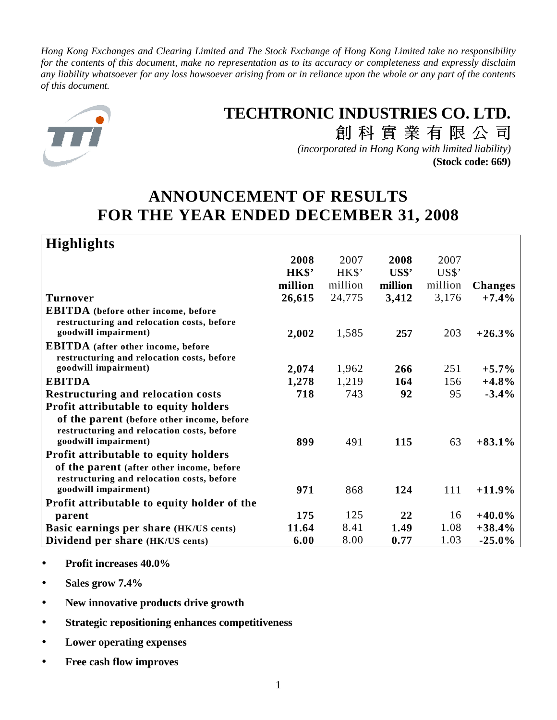*Hong Kong Exchanges and Clearing Limited and The Stock Exchange of Hong Kong Limited take no responsibility for the contents of this document, make no representation as to its accuracy or completeness and expressly disclaim any liability whatsoever for any loss howsoever arising from or in reliance upon the whole or any part of the contents of this document.*



# **TECHTRONIC INDUSTRIES CO. LTD.**

創科實業有限公司 *(incorporated in Hong Kong with limited liability)* **(Stock code: 669)**

# **ANNOUNCEMENT OF RESULTS FOR THE YEAR ENDED DECEMBER 31, 2008**

# **Highlights**

| ပ<br>o                                       |         |         |         |         |                |
|----------------------------------------------|---------|---------|---------|---------|----------------|
|                                              | 2008    | 2007    | 2008    | 2007    |                |
|                                              | HK\$'   | HK\$'   | US\$'   | US\$    |                |
|                                              | million | million | million | million | <b>Changes</b> |
| <b>Turnover</b>                              | 26,615  | 24,775  | 3,412   | 3,176   | $+7.4%$        |
|                                              |         |         |         |         |                |
| <b>EBITDA</b> (before other income, before   |         |         |         |         |                |
| restructuring and relocation costs, before   |         |         |         |         |                |
| goodwill impairment)                         | 2,002   | 1,585   | 257     | 203     | $+26.3%$       |
| <b>EBITDA</b> (after other income, before    |         |         |         |         |                |
| restructuring and relocation costs, before   |         |         |         |         |                |
| goodwill impairment)                         | 2,074   | 1,962   | 266     | 251     | $+5.7\%$       |
| <b>EBITDA</b>                                | 1,278   | 1,219   | 164     | 156     | $+4.8%$        |
| <b>Restructuring and relocation costs</b>    | 718     | 743     | 92      | 95      | $-3.4\%$       |
|                                              |         |         |         |         |                |
| <b>Profit attributable to equity holders</b> |         |         |         |         |                |
| of the parent (before other income, before   |         |         |         |         |                |
| restructuring and relocation costs, before   |         |         |         |         |                |
| goodwill impairment)                         | 899     | 491     | 115     | 63      | $+83.1%$       |
| Profit attributable to equity holders        |         |         |         |         |                |
| of the parent (after other income, before    |         |         |         |         |                |
| restructuring and relocation costs, before   |         |         |         |         |                |
| goodwill impairment)                         | 971     | 868     | 124     | 111     | $+11.9\%$      |
| Profit attributable to equity holder of the  |         |         |         |         |                |
| parent                                       | 175     | 125     | 22      | 16      | $+40.0\%$      |
| Basic earnings per share (HK/US cents)       | 11.64   | 8.41    | 1.49    | 1.08    | $+38.4%$       |
| Dividend per share (HK/US cents)             | 6.00    | 8.00    | 0.77    | 1.03    | $-25.0%$       |
|                                              |         |         |         |         |                |

- **Profit increases 40.0%**
- **Sales grow 7.4%**
- **New innovative products drive growth**
- **Strategic repositioning enhances competitiveness**
- **Lower operating expenses**
- **Free cash flow improves**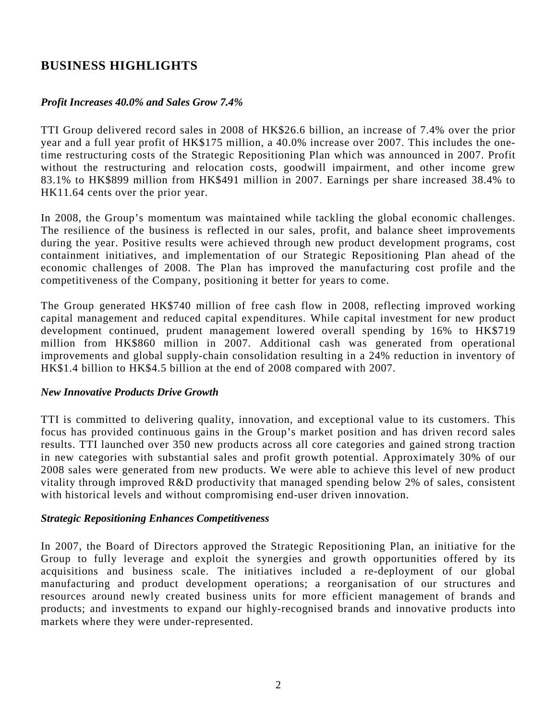# **BUSINESS HIGHLIGHTS**

#### *Profit Increases 40.0% and Sales Grow 7.4%*

TTI Group delivered record sales in 2008 of HK\$26.6 billion, an increase of 7.4% over the prior year and a full year profit of HK\$175 million, a 40.0% increase over 2007. This includes the onetime restructuring costs of the Strategic Repositioning Plan which was announced in 2007. Profit without the restructuring and relocation costs, goodwill impairment, and other income grew 83.1% to HK\$899 million from HK\$491 million in 2007. Earnings per share increased 38.4% to HK11.64 cents over the prior year.

In 2008, the Group's momentum was maintained while tackling the global economic challenges. The resilience of the business is reflected in our sales, profit, and balance sheet improvements during the year. Positive results were achieved through new product development programs, cost containment initiatives, and implementation of our Strategic Repositioning Plan ahead of the economic challenges of 2008. The Plan has improved the manufacturing cost profile and the competitiveness of the Company, positioning it better for years to come.

The Group generated HK\$740 million of free cash flow in 2008, reflecting improved working capital management and reduced capital expenditures. While capital investment for new product development continued, prudent management lowered overall spending by 16% to HK\$719 million from HK\$860 million in 2007. Additional cash was generated from operational improvements and global supply-chain consolidation resulting in a 24% reduction in inventory of HK\$1.4 billion to HK\$4.5 billion at the end of 2008 compared with 2007.

#### *New Innovative Products Drive Growth*

TTI is committed to delivering quality, innovation, and exceptional value to its customers. This focus has provided continuous gains in the Group's market position and has driven record sales results. TTI launched over 350 new products across all core categories and gained strong traction in new categories with substantial sales and profit growth potential. Approximately 30% of our 2008 sales were generated from new products. We were able to achieve this level of new product vitality through improved R&D productivity that managed spending below 2% of sales, consistent with historical levels and without compromising end-user driven innovation.

#### *Strategic Repositioning Enhances Competitiveness*

In 2007, the Board of Directors approved the Strategic Repositioning Plan, an initiative for the Group to fully leverage and exploit the synergies and growth opportunities offered by its acquisitions and business scale. The initiatives included a re-deployment of our global manufacturing and product development operations; a reorganisation of our structures and resources around newly created business units for more efficient management of brands and products; and investments to expand our highly-recognised brands and innovative products into markets where they were under-represented.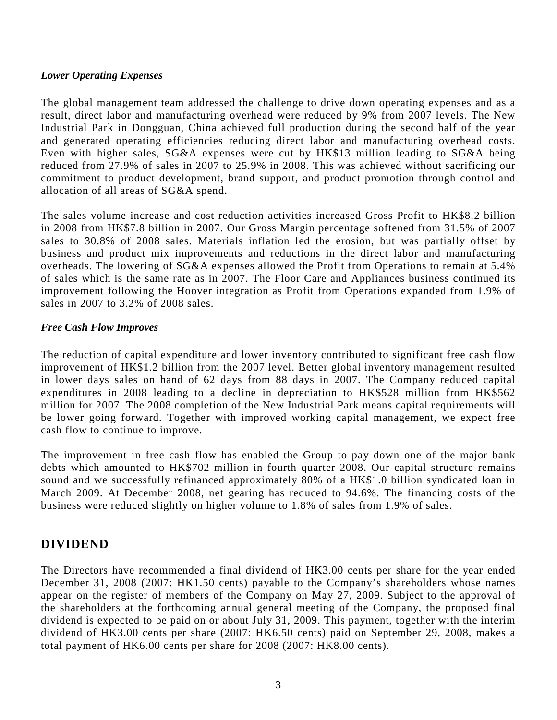### *Lower Operating Expenses*

The global management team addressed the challenge to drive down operating expenses and as a result, direct labor and manufacturing overhead were reduced by 9% from 2007 levels. The New Industrial Park in Dongguan, China achieved full production during the second half of the year and generated operating efficiencies reducing direct labor and manufacturing overhead costs. Even with higher sales, SG&A expenses were cut by HK\$13 million leading to SG&A being reduced from 27.9% of sales in 2007 to 25.9% in 2008. This was achieved without sacrificing our commitment to product development, brand support, and product promotion through control and allocation of all areas of SG&A spend.

The sales volume increase and cost reduction activities increased Gross Profit to HK\$8.2 billion in 2008 from HK\$7.8 billion in 2007. Our Gross Margin percentage softened from 31.5% of 2007 sales to 30.8% of 2008 sales. Materials inflation led the erosion, but was partially offset by business and product mix improvements and reductions in the direct labor and manufacturing overheads. The lowering of SG&A expenses allowed the Profit from Operations to remain at 5.4% of sales which is the same rate as in 2007. The Floor Care and Appliances business continued its improvement following the Hoover integration as Profit from Operations expanded from 1.9% of sales in 2007 to 3.2% of 2008 sales.

#### *Free Cash Flow Improves*

The reduction of capital expenditure and lower inventory contributed to significant free cash flow improvement of HK\$1.2 billion from the 2007 level. Better global inventory management resulted in lower days sales on hand of 62 days from 88 days in 2007. The Company reduced capital expenditures in 2008 leading to a decline in depreciation to HK\$528 million from HK\$562 million for 2007. The 2008 completion of the New Industrial Park means capital requirements will be lower going forward. Together with improved working capital management, we expect free cash flow to continue to improve.

The improvement in free cash flow has enabled the Group to pay down one of the major bank debts which amounted to HK\$702 million in fourth quarter 2008. Our capital structure remains sound and we successfully refinanced approximately 80% of a HK\$1.0 billion syndicated loan in March 2009. At December 2008, net gearing has reduced to 94.6%. The financing costs of the business were reduced slightly on higher volume to 1.8% of sales from 1.9% of sales.

# **DIVIDEND**

The Directors have recommended a final dividend of HK3.00 cents per share for the year ended December 31, 2008 (2007: HK1.50 cents) payable to the Company's shareholders whose names appear on the register of members of the Company on May 27, 2009. Subject to the approval of the shareholders at the forthcoming annual general meeting of the Company, the proposed final dividend is expected to be paid on or about July 31, 2009. This payment, together with the interim dividend of HK3.00 cents per share (2007: HK6.50 cents) paid on September 29, 2008, makes a total payment of HK6.00 cents per share for 2008 (2007: HK8.00 cents).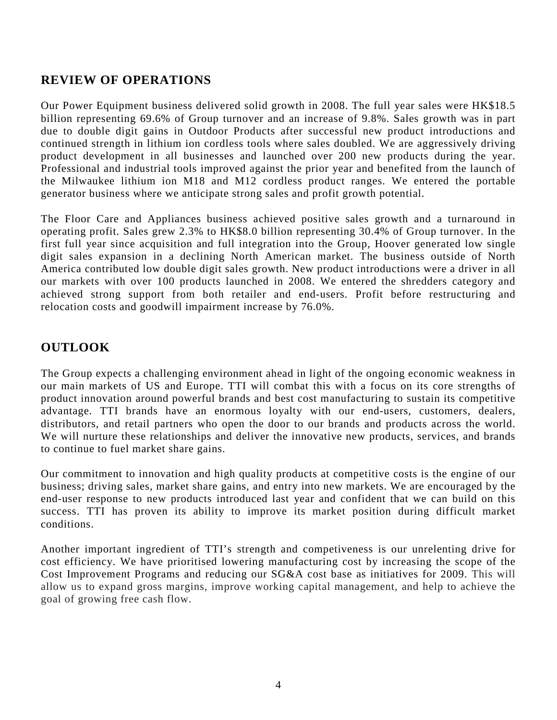# **REVIEW OF OPERATIONS**

Our Power Equipment business delivered solid growth in 2008. The full year sales were HK\$18.5 billion representing 69.6% of Group turnover and an increase of 9.8%. Sales growth was in part due to double digit gains in Outdoor Products after successful new product introductions and continued strength in lithium ion cordless tools where sales doubled. We are aggressively driving product development in all businesses and launched over 200 new products during the year. Professional and industrial tools improved against the prior year and benefited from the launch of the Milwaukee lithium ion M18 and M12 cordless product ranges. We entered the portable generator business where we anticipate strong sales and profit growth potential.

The Floor Care and Appliances business achieved positive sales growth and a turnaround in operating profit. Sales grew 2.3% to HK\$8.0 billion representing 30.4% of Group turnover. In the first full year since acquisition and full integration into the Group, Hoover generated low single digit sales expansion in a declining North American market. The business outside of North America contributed low double digit sales growth. New product introductions were a driver in all our markets with over 100 products launched in 2008. We entered the shredders category and achieved strong support from both retailer and end-users. Profit before restructuring and relocation costs and goodwill impairment increase by 76.0%.

# **OUTLOOK**

The Group expects a challenging environment ahead in light of the ongoing economic weakness in our main markets of US and Europe. TTI will combat this with a focus on its core strengths of product innovation around powerful brands and best cost manufacturing to sustain its competitive advantage. TTI brands have an enormous loyalty with our end-users, customers, dealers, distributors, and retail partners who open the door to our brands and products across the world. We will nurture these relationships and deliver the innovative new products, services, and brands to continue to fuel market share gains.

Our commitment to innovation and high quality products at competitive costs is the engine of our business; driving sales, market share gains, and entry into new markets. We are encouraged by the end-user response to new products introduced last year and confident that we can build on this success. TTI has proven its ability to improve its market position during difficult market conditions.

Another important ingredient of TTI's strength and competiveness is our unrelenting drive for cost efficiency. We have prioritised lowering manufacturing cost by increasing the scope of the Cost Improvement Programs and reducing our SG&A cost base as initiatives for 2009. This will allow us to expand gross margins, improve working capital management, and help to achieve the goal of growing free cash flow.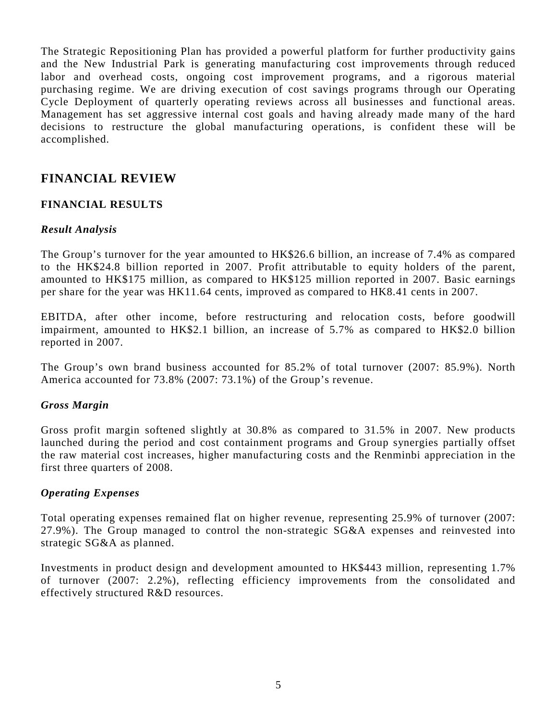The Strategic Repositioning Plan has provided a powerful platform for further productivity gains and the New Industrial Park is generating manufacturing cost improvements through reduced labor and overhead costs, ongoing cost improvement programs, and a rigorous material purchasing regime. We are driving execution of cost savings programs through our Operating Cycle Deployment of quarterly operating reviews across all businesses and functional areas. Management has set aggressive internal cost goals and having already made many of the hard decisions to restructure the global manufacturing operations, is confident these will be accomplished.

# **FINANCIAL REVIEW**

### **FINANCIAL RESULTS**

### *Result Analysis*

The Group's turnover for the year amounted to HK\$26.6 billion, an increase of 7.4% as compared to the HK\$24.8 billion reported in 2007. Profit attributable to equity holders of the parent, amounted to HK\$175 million, as compared to HK\$125 million reported in 2007. Basic earnings per share for the year was HK11.64 cents, improved as compared to HK8.41 cents in 2007.

EBITDA, after other income, before restructuring and relocation costs, before goodwill impairment, amounted to HK\$2.1 billion, an increase of 5.7% as compared to HK\$2.0 billion reported in 2007.

The Group's own brand business accounted for 85.2% of total turnover (2007: 85.9%). North America accounted for 73.8% (2007: 73.1%) of the Group's revenue.

### *Gross Margin*

Gross profit margin softened slightly at 30.8% as compared to 31.5% in 2007. New products launched during the period and cost containment programs and Group synergies partially offset the raw material cost increases, higher manufacturing costs and the Renminbi appreciation in the first three quarters of 2008.

### *Operating Expenses*

Total operating expenses remained flat on higher revenue, representing 25.9% of turnover (2007: 27.9%). The Group managed to control the non-strategic  $SG\&A$  expenses and reinvested into strategic SG&A as planned.

Investments in product design and development amounted to HK\$443 million, representing 1.7% of turnover (2007: 2.2%), reflecting efficiency improvements from the consolidated and effectively structured R&D resources.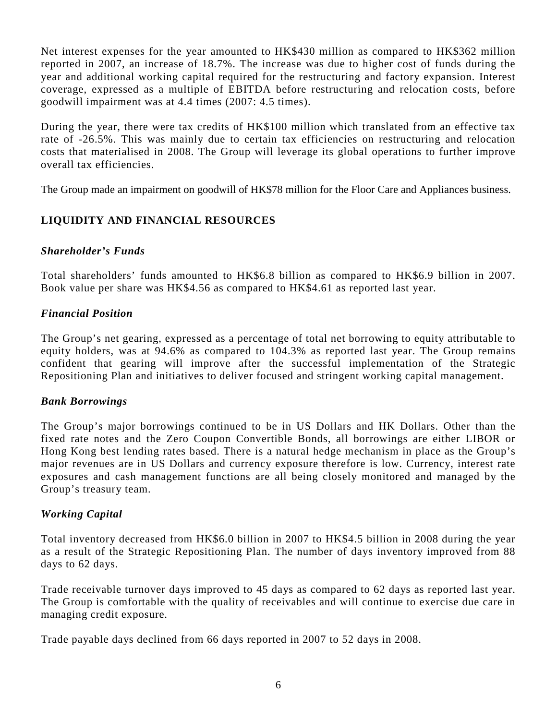Net interest expenses for the year amounted to HK\$430 million as compared to HK\$362 million reported in 2007, an increase of 18.7%. The increase was due to higher cost of funds during the year and additional working capital required for the restructuring and factory expansion. Interest coverage, expressed as a multiple of EBITDA before restructuring and relocation costs, before goodwill impairment was at 4.4 times (2007: 4.5 times).

During the year, there were tax credits of HK\$100 million which translated from an effective tax rate of -26.5%. This was mainly due to certain tax efficiencies on restructuring and relocation costs that materialised in 2008. The Group will leverage its global operations to further improve overall tax efficiencies.

The Group made an impairment on goodwill of HK\$78 million for the Floor Care and Appliances business.

# **LIQUIDITY AND FINANCIAL RESOURCES**

### *Shareholder's Funds*

Total shareholders' funds amounted to HK\$6.8 billion as compared to HK\$6.9 billion in 2007. Book value per share was HK\$4.56 as compared to HK\$4.61 as reported last year.

## *Financial Position*

The Group's net gearing, expressed as a percentage of total net borrowing to equity attributable to equity holders, was at 94.6% as compared to 104.3% as reported last year. The Group remains confident that gearing will improve after the successful implementation of the Strategic Repositioning Plan and initiatives to deliver focused and stringent working capital management.

### *Bank Borrowings*

The Group's major borrowings continued to be in US Dollars and HK Dollars. Other than the fixed rate notes and the Zero Coupon Convertible Bonds, all borrowings are either LIBOR or Hong Kong best lending rates based. There is a natural hedge mechanism in place as the Group's major revenues are in US Dollars and currency exposure therefore is low. Currency, interest rate exposures and cash management functions are all being closely monitored and managed by the Group's treasury team.

### *Working Capital*

Total inventory decreased from HK\$6.0 billion in 2007 to HK\$4.5 billion in 2008 during the year as a result of the Strategic Repositioning Plan. The number of days inventory improved from 88 days to 62 days.

Trade receivable turnover days improved to 45 days as compared to 62 days as reported last year. The Group is comfortable with the quality of receivables and will continue to exercise due care in managing credit exposure.

Trade payable days declined from 66 days reported in 2007 to 52 days in 2008.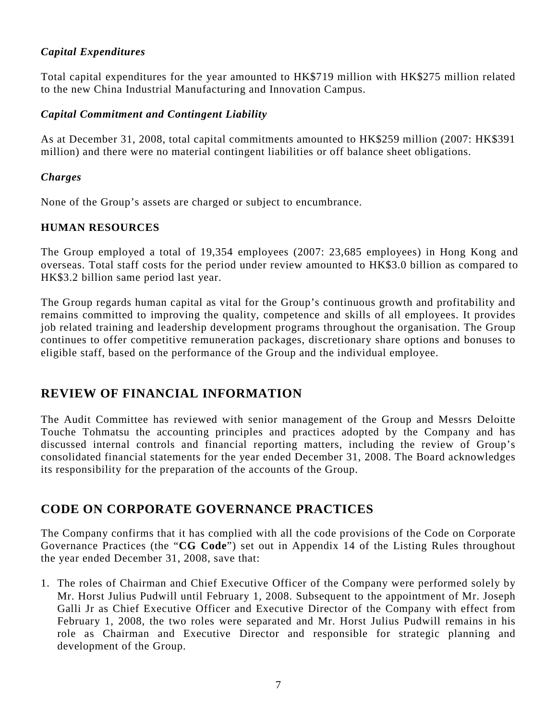### *Capital Expenditures*

Total capital expenditures for the year amounted to HK\$719 million with HK\$275 million related to the new China Industrial Manufacturing and Innovation Campus.

### *Capital Commitment and Contingent Liability*

As at December 31, 2008, total capital commitments amounted to HK\$259 million (2007: HK\$391 million) and there were no material contingent liabilities or off balance sheet obligations.

### *Charges*

None of the Group's assets are charged or subject to encumbrance.

### **HUMAN RESOURCES**

The Group employed a total of 19,354 employees (2007: 23,685 employees) in Hong Kong and overseas. Total staff costs for the period under review amounted to HK\$3.0 billion as compared to HK\$3.2 billion same period last year.

The Group regards human capital as vital for the Group's continuous growth and profitability and remains committed to improving the quality, competence and skills of all employees. It provides job related training and leadership development programs throughout the organisation. The Group continues to offer competitive remuneration packages, discretionary share options and bonuses to eligible staff, based on the performance of the Group and the individual employee.

# **REVIEW OF FINANCIAL INFORMATION**

The Audit Committee has reviewed with senior management of the Group and Messrs Deloitte Touche Tohmatsu the accounting principles and practices adopted by the Company and has discussed internal controls and financial reporting matters, including the review of Group's consolidated financial statements for the year ended December 31, 2008. The Board acknowledges its responsibility for the preparation of the accounts of the Group.

# **CODE ON CORPORATE GOVERNANCE PRACTICES**

The Company confirms that it has complied with all the code provisions of the Code on Corporate Governance Practices (the "**CG Code**") set out in Appendix 14 of the Listing Rules throughout the year ended December 31, 2008, save that:

1. The roles of Chairman and Chief Executive Officer of the Company were performed solely by Mr. Horst Julius Pudwill until February 1, 2008. Subsequent to the appointment of Mr. Joseph Galli Jr as Chief Executive Officer and Executive Director of the Company with effect from February 1, 2008, the two roles were separated and Mr. Horst Julius Pudwill remains in his role as Chairman and Executive Director and responsible for strategic planning and development of the Group.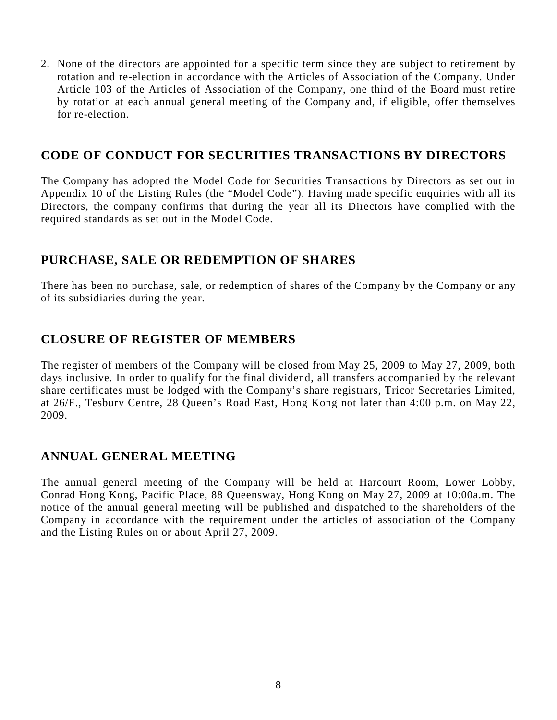2. None of the directors are appointed for a specific term since they are subject to retirement by rotation and re-election in accordance with the Articles of Association of the Company. Under Article 103 of the Articles of Association of the Company, one third of the Board must retire by rotation at each annual general meeting of the Company and, if eligible, offer themselves for re-election.

# **CODE OF CONDUCT FOR SECURITIES TRANSACTIONS BY DIRECTORS**

The Company has adopted the Model Code for Securities Transactions by Directors as set out in Appendix 10 of the Listing Rules (the "Model Code"). Having made specific enquiries with all its Directors, the company confirms that during the year all its Directors have complied with the required standards as set out in the Model Code.

# **PURCHASE, SALE OR REDEMPTION OF SHARES**

There has been no purchase, sale, or redemption of shares of the Company by the Company or any of its subsidiaries during the year.

# **CLOSURE OF REGISTER OF MEMBERS**

The register of members of the Company will be closed from May 25, 2009 to May 27, 2009, both days inclusive. In order to qualify for the final dividend, all transfers accompanied by the relevant share certificates must be lodged with the Company's share registrars, Tricor Secretaries Limited, at 26/F., Tesbury Centre, 28 Queen's Road East, Hong Kong not later than 4:00 p.m. on May 22, 2009.

# **ANNUAL GENERAL MEETING**

The annual general meeting of the Company will be held at Harcourt Room, Lower Lobby, Conrad Hong Kong, Pacific Place, 88 Queensway, Hong Kong on May 27, 2009 at 10:00a.m. The notice of the annual general meeting will be published and dispatched to the shareholders of the Company in accordance with the requirement under the articles of association of the Company and the Listing Rules on or about April 27, 2009.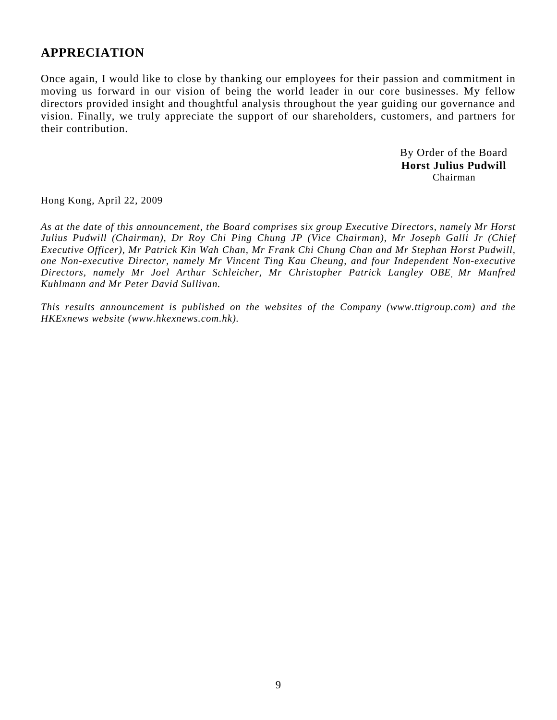# **APPRECIATION**

Once again, I would like to close by thanking our employees for their passion and commitment in moving us forward in our vision of being the world leader in our core businesses. My fellow directors provided insight and thoughtful analysis throughout the year guiding our governance and vision. Finally, we truly appreciate the support of our shareholders, customers, and partners for their contribution.

> By Order of the Board **Horst Julius Pudwill**  Chairman

Hong Kong, April 22, 2009

*As at the date of this announcement, the Board comprises six group Executive Directors, namely Mr Horst Julius Pudwill (Chairman), Dr Roy Chi Ping Chung JP (Vice Chairman), Mr Joseph Galli Jr (Chief Executive Officer), Mr Patrick Kin Wah Chan, Mr Frank Chi Chung Chan and Mr Stephan Horst Pudwill, one Non-executive Director, namely Mr Vincent Ting Kau Cheung, and four Independent Non-executive Directors, namely Mr Joel Arthur Schleicher, Mr Christopher Patrick Langley OBE, Mr Manfred Kuhlmann and Mr Peter David Sullivan.* 

*This results announcement is published on the websites of the Company (www.ttigroup.com) and the HKExnews website (www.hkexnews.com.hk).*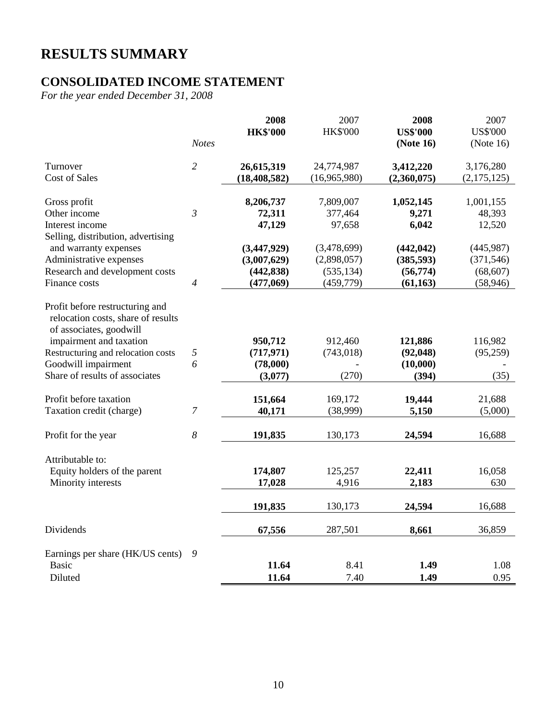# **RESULTS SUMMARY**

# **CONSOLIDATED INCOME STATEMENT**

*For the year ended December 31, 2008* 

|                                                                                                  |                  | 2008            | 2007            | 2008            | 2007            |
|--------------------------------------------------------------------------------------------------|------------------|-----------------|-----------------|-----------------|-----------------|
|                                                                                                  | <b>Notes</b>     | <b>HK\$'000</b> | <b>HK\$'000</b> | <b>US\$'000</b> | <b>US\$'000</b> |
|                                                                                                  |                  |                 |                 | (Note 16)       | (Note 16)       |
| Turnover                                                                                         | $\overline{2}$   | 26,615,319      | 24,774,987      | 3,412,220       | 3,176,280       |
| <b>Cost of Sales</b>                                                                             |                  | (18, 408, 582)  | (16,965,980)    | (2,360,075)     | (2,175,125)     |
| Gross profit                                                                                     |                  | 8,206,737       | 7,809,007       | 1,052,145       | 1,001,155       |
| Other income                                                                                     | $\mathfrak{Z}$   | 72,311          | 377,464         | 9,271           | 48,393          |
| Interest income                                                                                  |                  | 47,129          | 97,658          | 6,042           | 12,520          |
| Selling, distribution, advertising                                                               |                  |                 |                 |                 |                 |
| and warranty expenses                                                                            |                  | (3,447,929)     | (3,478,699)     | (442, 042)      | (445,987)       |
| Administrative expenses                                                                          |                  | (3,007,629)     | (2,898,057)     | (385, 593)      | (371, 546)      |
| Research and development costs                                                                   |                  | (442, 838)      | (535, 134)      | (56, 774)       | (68, 607)       |
| Finance costs                                                                                    | $\overline{4}$   | (477,069)       | (459, 779)      | (61, 163)       | (58, 946)       |
| Profit before restructuring and<br>relocation costs, share of results<br>of associates, goodwill |                  |                 |                 |                 |                 |
| impairment and taxation                                                                          |                  | 950,712         | 912,460         | 121,886         | 116,982         |
| Restructuring and relocation costs                                                               | 5                | (717, 971)      | (743, 018)      | (92, 048)       | (95,259)        |
| Goodwill impairment                                                                              | 6                | (78,000)        |                 | (10,000)        |                 |
| Share of results of associates                                                                   |                  | (3,077)         | (270)           | (394)           | (35)            |
| Profit before taxation                                                                           |                  | 151,664         | 169,172         | 19,444          | 21,688          |
| Taxation credit (charge)                                                                         | 7                | 40,171          | (38,999)        | 5,150           | (5,000)         |
| Profit for the year                                                                              | $\boldsymbol{8}$ | 191,835         | 130,173         | 24,594          | 16,688          |
| Attributable to:                                                                                 |                  |                 |                 |                 |                 |
| Equity holders of the parent                                                                     |                  | 174,807         | 125,257         | 22,411          | 16,058          |
| Minority interests                                                                               |                  | 17,028          | 4,916           | 2,183           | 630             |
|                                                                                                  |                  |                 |                 |                 |                 |
|                                                                                                  |                  | 191,835         | 130,173         | 24,594          | 16,688          |
| Dividends                                                                                        |                  | 67,556          | 287,501         | 8,661           | 36,859          |
|                                                                                                  | 9                |                 |                 |                 |                 |
| Earnings per share (HK/US cents)<br><b>Basic</b>                                                 |                  | 11.64           | 8.41            | 1.49            | 1.08            |
| Diluted                                                                                          |                  | 11.64           | 7.40            | 1.49            | 0.95            |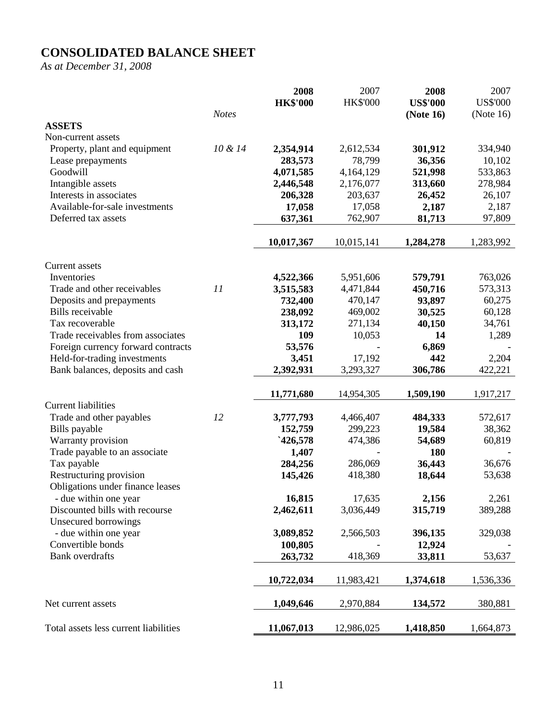# **CONSOLIDATED BALANCE SHEET**

*As at December 31, 2008* 

| <b>HK\$'000</b><br><b>US\$'000</b><br><b>HK\$'000</b><br><b>US\$'000</b><br><b>Notes</b><br>(Note 16)<br>(Note 16)<br><b>ASSETS</b><br>Non-current assets<br>10 & 14<br>Property, plant and equipment<br>2,612,534<br>301,912<br>334,940<br>2,354,914<br>78,799<br>36,356<br>10,102<br>283,573<br>Lease prepayments<br>Goodwill<br>4,164,129<br>521,998<br>533,863<br>4,071,585<br>Intangible assets<br>2,176,077<br>278,984<br>2,446,548<br>313,660<br>Interests in associates<br>203,637<br>26,107<br>206,328<br>26,452<br>Available-for-sale investments<br>17,058<br>17,058<br>2,187<br>2,187<br>Deferred tax assets<br>97,809<br>637,361<br>762,907<br>81,713<br>10,017,367<br>10,015,141<br>1,284,278<br>1,283,992<br>Current assets<br>Inventories<br>4,522,366<br>579,791<br>763,026<br>5,951,606<br>11<br>Trade and other receivables<br>3,515,583<br>4,471,844<br>450,716<br>573,313<br>Deposits and prepayments<br>470,147<br>93,897<br>60,275<br>732,400<br>30,525<br>60,128<br><b>Bills</b> receivable<br>238,092<br>469,002<br>313,172<br>271,134<br>40,150<br>34,761<br>Tax recoverable<br>Trade receivables from associates<br>109<br>10,053<br>1,289<br>14<br>Foreign currency forward contracts<br>53,576<br>6,869<br>Held-for-trading investments<br>442<br>3,451<br>17,192<br>2,204<br>Bank balances, deposits and cash<br>3,293,327<br>306,786<br>422,221<br>2,392,931<br>14,954,305<br>1,917,217<br>11,771,680<br>1,509,190<br><b>Current liabilities</b><br>Trade and other payables<br>12<br>3,777,793<br>572,617<br>4,466,407<br>484,333<br>Bills payable<br>152,759<br>299,223<br>19,584<br>38,362<br>Warranty provision<br>474,386<br>60,819<br>426,578<br>54,689<br>Trade payable to an associate<br>180<br>1,407<br>Tax payable<br>284,256<br>36,443<br>36,676<br>286,069<br>Restructuring provision<br>145,426<br>418,380<br>18,644<br>53,638<br>Obligations under finance leases<br>- due within one year<br>16,815<br>17,635<br>2,156<br>2,261<br>2,462,611<br>Discounted bills with recourse<br>3,036,449<br>315,719<br>389,288<br>Unsecured borrowings<br>- due within one year<br>2,566,503<br>329,038<br>3,089,852<br>396,135<br>Convertible bonds<br>100,805<br>12,924<br><b>Bank</b> overdrafts<br>263,732<br>418,369<br>33,811<br>53,637<br>10,722,034<br>11,983,421<br>1,374,618<br>1,536,336<br>Net current assets<br>1,049,646<br>2,970,884<br>134,572<br>380,881<br>11,067,013<br>Total assets less current liabilities<br>12,986,025<br>1,418,850<br>1,664,873 |  | 2008 | 2007 | 2008 | 2007 |
|------------------------------------------------------------------------------------------------------------------------------------------------------------------------------------------------------------------------------------------------------------------------------------------------------------------------------------------------------------------------------------------------------------------------------------------------------------------------------------------------------------------------------------------------------------------------------------------------------------------------------------------------------------------------------------------------------------------------------------------------------------------------------------------------------------------------------------------------------------------------------------------------------------------------------------------------------------------------------------------------------------------------------------------------------------------------------------------------------------------------------------------------------------------------------------------------------------------------------------------------------------------------------------------------------------------------------------------------------------------------------------------------------------------------------------------------------------------------------------------------------------------------------------------------------------------------------------------------------------------------------------------------------------------------------------------------------------------------------------------------------------------------------------------------------------------------------------------------------------------------------------------------------------------------------------------------------------------------------------------------------------------------------------------------------------------------------------------------------------------------------------------------------------------------------------------------------------------------------------------------------------------------------------------------------------------------------------------------------------------------------------------------------------------------------------------------------------------------------------------------------------|--|------|------|------|------|
|                                                                                                                                                                                                                                                                                                                                                                                                                                                                                                                                                                                                                                                                                                                                                                                                                                                                                                                                                                                                                                                                                                                                                                                                                                                                                                                                                                                                                                                                                                                                                                                                                                                                                                                                                                                                                                                                                                                                                                                                                                                                                                                                                                                                                                                                                                                                                                                                                                                                                                            |  |      |      |      |      |
|                                                                                                                                                                                                                                                                                                                                                                                                                                                                                                                                                                                                                                                                                                                                                                                                                                                                                                                                                                                                                                                                                                                                                                                                                                                                                                                                                                                                                                                                                                                                                                                                                                                                                                                                                                                                                                                                                                                                                                                                                                                                                                                                                                                                                                                                                                                                                                                                                                                                                                            |  |      |      |      |      |
|                                                                                                                                                                                                                                                                                                                                                                                                                                                                                                                                                                                                                                                                                                                                                                                                                                                                                                                                                                                                                                                                                                                                                                                                                                                                                                                                                                                                                                                                                                                                                                                                                                                                                                                                                                                                                                                                                                                                                                                                                                                                                                                                                                                                                                                                                                                                                                                                                                                                                                            |  |      |      |      |      |
|                                                                                                                                                                                                                                                                                                                                                                                                                                                                                                                                                                                                                                                                                                                                                                                                                                                                                                                                                                                                                                                                                                                                                                                                                                                                                                                                                                                                                                                                                                                                                                                                                                                                                                                                                                                                                                                                                                                                                                                                                                                                                                                                                                                                                                                                                                                                                                                                                                                                                                            |  |      |      |      |      |
|                                                                                                                                                                                                                                                                                                                                                                                                                                                                                                                                                                                                                                                                                                                                                                                                                                                                                                                                                                                                                                                                                                                                                                                                                                                                                                                                                                                                                                                                                                                                                                                                                                                                                                                                                                                                                                                                                                                                                                                                                                                                                                                                                                                                                                                                                                                                                                                                                                                                                                            |  |      |      |      |      |
|                                                                                                                                                                                                                                                                                                                                                                                                                                                                                                                                                                                                                                                                                                                                                                                                                                                                                                                                                                                                                                                                                                                                                                                                                                                                                                                                                                                                                                                                                                                                                                                                                                                                                                                                                                                                                                                                                                                                                                                                                                                                                                                                                                                                                                                                                                                                                                                                                                                                                                            |  |      |      |      |      |
|                                                                                                                                                                                                                                                                                                                                                                                                                                                                                                                                                                                                                                                                                                                                                                                                                                                                                                                                                                                                                                                                                                                                                                                                                                                                                                                                                                                                                                                                                                                                                                                                                                                                                                                                                                                                                                                                                                                                                                                                                                                                                                                                                                                                                                                                                                                                                                                                                                                                                                            |  |      |      |      |      |
|                                                                                                                                                                                                                                                                                                                                                                                                                                                                                                                                                                                                                                                                                                                                                                                                                                                                                                                                                                                                                                                                                                                                                                                                                                                                                                                                                                                                                                                                                                                                                                                                                                                                                                                                                                                                                                                                                                                                                                                                                                                                                                                                                                                                                                                                                                                                                                                                                                                                                                            |  |      |      |      |      |
|                                                                                                                                                                                                                                                                                                                                                                                                                                                                                                                                                                                                                                                                                                                                                                                                                                                                                                                                                                                                                                                                                                                                                                                                                                                                                                                                                                                                                                                                                                                                                                                                                                                                                                                                                                                                                                                                                                                                                                                                                                                                                                                                                                                                                                                                                                                                                                                                                                                                                                            |  |      |      |      |      |
|                                                                                                                                                                                                                                                                                                                                                                                                                                                                                                                                                                                                                                                                                                                                                                                                                                                                                                                                                                                                                                                                                                                                                                                                                                                                                                                                                                                                                                                                                                                                                                                                                                                                                                                                                                                                                                                                                                                                                                                                                                                                                                                                                                                                                                                                                                                                                                                                                                                                                                            |  |      |      |      |      |
|                                                                                                                                                                                                                                                                                                                                                                                                                                                                                                                                                                                                                                                                                                                                                                                                                                                                                                                                                                                                                                                                                                                                                                                                                                                                                                                                                                                                                                                                                                                                                                                                                                                                                                                                                                                                                                                                                                                                                                                                                                                                                                                                                                                                                                                                                                                                                                                                                                                                                                            |  |      |      |      |      |
|                                                                                                                                                                                                                                                                                                                                                                                                                                                                                                                                                                                                                                                                                                                                                                                                                                                                                                                                                                                                                                                                                                                                                                                                                                                                                                                                                                                                                                                                                                                                                                                                                                                                                                                                                                                                                                                                                                                                                                                                                                                                                                                                                                                                                                                                                                                                                                                                                                                                                                            |  |      |      |      |      |
|                                                                                                                                                                                                                                                                                                                                                                                                                                                                                                                                                                                                                                                                                                                                                                                                                                                                                                                                                                                                                                                                                                                                                                                                                                                                                                                                                                                                                                                                                                                                                                                                                                                                                                                                                                                                                                                                                                                                                                                                                                                                                                                                                                                                                                                                                                                                                                                                                                                                                                            |  |      |      |      |      |
|                                                                                                                                                                                                                                                                                                                                                                                                                                                                                                                                                                                                                                                                                                                                                                                                                                                                                                                                                                                                                                                                                                                                                                                                                                                                                                                                                                                                                                                                                                                                                                                                                                                                                                                                                                                                                                                                                                                                                                                                                                                                                                                                                                                                                                                                                                                                                                                                                                                                                                            |  |      |      |      |      |
|                                                                                                                                                                                                                                                                                                                                                                                                                                                                                                                                                                                                                                                                                                                                                                                                                                                                                                                                                                                                                                                                                                                                                                                                                                                                                                                                                                                                                                                                                                                                                                                                                                                                                                                                                                                                                                                                                                                                                                                                                                                                                                                                                                                                                                                                                                                                                                                                                                                                                                            |  |      |      |      |      |
|                                                                                                                                                                                                                                                                                                                                                                                                                                                                                                                                                                                                                                                                                                                                                                                                                                                                                                                                                                                                                                                                                                                                                                                                                                                                                                                                                                                                                                                                                                                                                                                                                                                                                                                                                                                                                                                                                                                                                                                                                                                                                                                                                                                                                                                                                                                                                                                                                                                                                                            |  |      |      |      |      |
|                                                                                                                                                                                                                                                                                                                                                                                                                                                                                                                                                                                                                                                                                                                                                                                                                                                                                                                                                                                                                                                                                                                                                                                                                                                                                                                                                                                                                                                                                                                                                                                                                                                                                                                                                                                                                                                                                                                                                                                                                                                                                                                                                                                                                                                                                                                                                                                                                                                                                                            |  |      |      |      |      |
|                                                                                                                                                                                                                                                                                                                                                                                                                                                                                                                                                                                                                                                                                                                                                                                                                                                                                                                                                                                                                                                                                                                                                                                                                                                                                                                                                                                                                                                                                                                                                                                                                                                                                                                                                                                                                                                                                                                                                                                                                                                                                                                                                                                                                                                                                                                                                                                                                                                                                                            |  |      |      |      |      |
|                                                                                                                                                                                                                                                                                                                                                                                                                                                                                                                                                                                                                                                                                                                                                                                                                                                                                                                                                                                                                                                                                                                                                                                                                                                                                                                                                                                                                                                                                                                                                                                                                                                                                                                                                                                                                                                                                                                                                                                                                                                                                                                                                                                                                                                                                                                                                                                                                                                                                                            |  |      |      |      |      |
|                                                                                                                                                                                                                                                                                                                                                                                                                                                                                                                                                                                                                                                                                                                                                                                                                                                                                                                                                                                                                                                                                                                                                                                                                                                                                                                                                                                                                                                                                                                                                                                                                                                                                                                                                                                                                                                                                                                                                                                                                                                                                                                                                                                                                                                                                                                                                                                                                                                                                                            |  |      |      |      |      |
|                                                                                                                                                                                                                                                                                                                                                                                                                                                                                                                                                                                                                                                                                                                                                                                                                                                                                                                                                                                                                                                                                                                                                                                                                                                                                                                                                                                                                                                                                                                                                                                                                                                                                                                                                                                                                                                                                                                                                                                                                                                                                                                                                                                                                                                                                                                                                                                                                                                                                                            |  |      |      |      |      |
|                                                                                                                                                                                                                                                                                                                                                                                                                                                                                                                                                                                                                                                                                                                                                                                                                                                                                                                                                                                                                                                                                                                                                                                                                                                                                                                                                                                                                                                                                                                                                                                                                                                                                                                                                                                                                                                                                                                                                                                                                                                                                                                                                                                                                                                                                                                                                                                                                                                                                                            |  |      |      |      |      |
|                                                                                                                                                                                                                                                                                                                                                                                                                                                                                                                                                                                                                                                                                                                                                                                                                                                                                                                                                                                                                                                                                                                                                                                                                                                                                                                                                                                                                                                                                                                                                                                                                                                                                                                                                                                                                                                                                                                                                                                                                                                                                                                                                                                                                                                                                                                                                                                                                                                                                                            |  |      |      |      |      |
|                                                                                                                                                                                                                                                                                                                                                                                                                                                                                                                                                                                                                                                                                                                                                                                                                                                                                                                                                                                                                                                                                                                                                                                                                                                                                                                                                                                                                                                                                                                                                                                                                                                                                                                                                                                                                                                                                                                                                                                                                                                                                                                                                                                                                                                                                                                                                                                                                                                                                                            |  |      |      |      |      |
|                                                                                                                                                                                                                                                                                                                                                                                                                                                                                                                                                                                                                                                                                                                                                                                                                                                                                                                                                                                                                                                                                                                                                                                                                                                                                                                                                                                                                                                                                                                                                                                                                                                                                                                                                                                                                                                                                                                                                                                                                                                                                                                                                                                                                                                                                                                                                                                                                                                                                                            |  |      |      |      |      |
|                                                                                                                                                                                                                                                                                                                                                                                                                                                                                                                                                                                                                                                                                                                                                                                                                                                                                                                                                                                                                                                                                                                                                                                                                                                                                                                                                                                                                                                                                                                                                                                                                                                                                                                                                                                                                                                                                                                                                                                                                                                                                                                                                                                                                                                                                                                                                                                                                                                                                                            |  |      |      |      |      |
|                                                                                                                                                                                                                                                                                                                                                                                                                                                                                                                                                                                                                                                                                                                                                                                                                                                                                                                                                                                                                                                                                                                                                                                                                                                                                                                                                                                                                                                                                                                                                                                                                                                                                                                                                                                                                                                                                                                                                                                                                                                                                                                                                                                                                                                                                                                                                                                                                                                                                                            |  |      |      |      |      |
|                                                                                                                                                                                                                                                                                                                                                                                                                                                                                                                                                                                                                                                                                                                                                                                                                                                                                                                                                                                                                                                                                                                                                                                                                                                                                                                                                                                                                                                                                                                                                                                                                                                                                                                                                                                                                                                                                                                                                                                                                                                                                                                                                                                                                                                                                                                                                                                                                                                                                                            |  |      |      |      |      |
|                                                                                                                                                                                                                                                                                                                                                                                                                                                                                                                                                                                                                                                                                                                                                                                                                                                                                                                                                                                                                                                                                                                                                                                                                                                                                                                                                                                                                                                                                                                                                                                                                                                                                                                                                                                                                                                                                                                                                                                                                                                                                                                                                                                                                                                                                                                                                                                                                                                                                                            |  |      |      |      |      |
|                                                                                                                                                                                                                                                                                                                                                                                                                                                                                                                                                                                                                                                                                                                                                                                                                                                                                                                                                                                                                                                                                                                                                                                                                                                                                                                                                                                                                                                                                                                                                                                                                                                                                                                                                                                                                                                                                                                                                                                                                                                                                                                                                                                                                                                                                                                                                                                                                                                                                                            |  |      |      |      |      |
|                                                                                                                                                                                                                                                                                                                                                                                                                                                                                                                                                                                                                                                                                                                                                                                                                                                                                                                                                                                                                                                                                                                                                                                                                                                                                                                                                                                                                                                                                                                                                                                                                                                                                                                                                                                                                                                                                                                                                                                                                                                                                                                                                                                                                                                                                                                                                                                                                                                                                                            |  |      |      |      |      |
|                                                                                                                                                                                                                                                                                                                                                                                                                                                                                                                                                                                                                                                                                                                                                                                                                                                                                                                                                                                                                                                                                                                                                                                                                                                                                                                                                                                                                                                                                                                                                                                                                                                                                                                                                                                                                                                                                                                                                                                                                                                                                                                                                                                                                                                                                                                                                                                                                                                                                                            |  |      |      |      |      |
|                                                                                                                                                                                                                                                                                                                                                                                                                                                                                                                                                                                                                                                                                                                                                                                                                                                                                                                                                                                                                                                                                                                                                                                                                                                                                                                                                                                                                                                                                                                                                                                                                                                                                                                                                                                                                                                                                                                                                                                                                                                                                                                                                                                                                                                                                                                                                                                                                                                                                                            |  |      |      |      |      |
|                                                                                                                                                                                                                                                                                                                                                                                                                                                                                                                                                                                                                                                                                                                                                                                                                                                                                                                                                                                                                                                                                                                                                                                                                                                                                                                                                                                                                                                                                                                                                                                                                                                                                                                                                                                                                                                                                                                                                                                                                                                                                                                                                                                                                                                                                                                                                                                                                                                                                                            |  |      |      |      |      |
|                                                                                                                                                                                                                                                                                                                                                                                                                                                                                                                                                                                                                                                                                                                                                                                                                                                                                                                                                                                                                                                                                                                                                                                                                                                                                                                                                                                                                                                                                                                                                                                                                                                                                                                                                                                                                                                                                                                                                                                                                                                                                                                                                                                                                                                                                                                                                                                                                                                                                                            |  |      |      |      |      |
|                                                                                                                                                                                                                                                                                                                                                                                                                                                                                                                                                                                                                                                                                                                                                                                                                                                                                                                                                                                                                                                                                                                                                                                                                                                                                                                                                                                                                                                                                                                                                                                                                                                                                                                                                                                                                                                                                                                                                                                                                                                                                                                                                                                                                                                                                                                                                                                                                                                                                                            |  |      |      |      |      |
|                                                                                                                                                                                                                                                                                                                                                                                                                                                                                                                                                                                                                                                                                                                                                                                                                                                                                                                                                                                                                                                                                                                                                                                                                                                                                                                                                                                                                                                                                                                                                                                                                                                                                                                                                                                                                                                                                                                                                                                                                                                                                                                                                                                                                                                                                                                                                                                                                                                                                                            |  |      |      |      |      |
|                                                                                                                                                                                                                                                                                                                                                                                                                                                                                                                                                                                                                                                                                                                                                                                                                                                                                                                                                                                                                                                                                                                                                                                                                                                                                                                                                                                                                                                                                                                                                                                                                                                                                                                                                                                                                                                                                                                                                                                                                                                                                                                                                                                                                                                                                                                                                                                                                                                                                                            |  |      |      |      |      |
|                                                                                                                                                                                                                                                                                                                                                                                                                                                                                                                                                                                                                                                                                                                                                                                                                                                                                                                                                                                                                                                                                                                                                                                                                                                                                                                                                                                                                                                                                                                                                                                                                                                                                                                                                                                                                                                                                                                                                                                                                                                                                                                                                                                                                                                                                                                                                                                                                                                                                                            |  |      |      |      |      |
|                                                                                                                                                                                                                                                                                                                                                                                                                                                                                                                                                                                                                                                                                                                                                                                                                                                                                                                                                                                                                                                                                                                                                                                                                                                                                                                                                                                                                                                                                                                                                                                                                                                                                                                                                                                                                                                                                                                                                                                                                                                                                                                                                                                                                                                                                                                                                                                                                                                                                                            |  |      |      |      |      |
|                                                                                                                                                                                                                                                                                                                                                                                                                                                                                                                                                                                                                                                                                                                                                                                                                                                                                                                                                                                                                                                                                                                                                                                                                                                                                                                                                                                                                                                                                                                                                                                                                                                                                                                                                                                                                                                                                                                                                                                                                                                                                                                                                                                                                                                                                                                                                                                                                                                                                                            |  |      |      |      |      |
|                                                                                                                                                                                                                                                                                                                                                                                                                                                                                                                                                                                                                                                                                                                                                                                                                                                                                                                                                                                                                                                                                                                                                                                                                                                                                                                                                                                                                                                                                                                                                                                                                                                                                                                                                                                                                                                                                                                                                                                                                                                                                                                                                                                                                                                                                                                                                                                                                                                                                                            |  |      |      |      |      |
|                                                                                                                                                                                                                                                                                                                                                                                                                                                                                                                                                                                                                                                                                                                                                                                                                                                                                                                                                                                                                                                                                                                                                                                                                                                                                                                                                                                                                                                                                                                                                                                                                                                                                                                                                                                                                                                                                                                                                                                                                                                                                                                                                                                                                                                                                                                                                                                                                                                                                                            |  |      |      |      |      |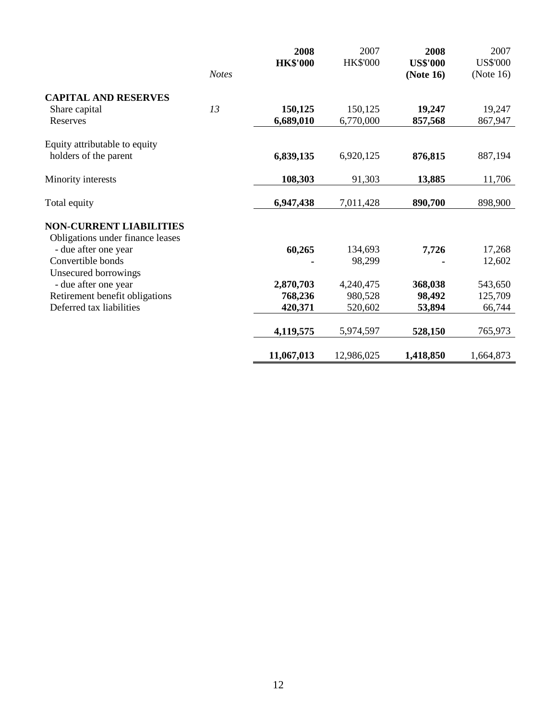|                                  |              | 2008            | 2007       | 2008            | 2007            |
|----------------------------------|--------------|-----------------|------------|-----------------|-----------------|
|                                  |              | <b>HK\$'000</b> | HK\$'000   | <b>US\$'000</b> | <b>US\$'000</b> |
|                                  | <b>Notes</b> |                 |            | (Note 16)       | (Note 16)       |
| <b>CAPITAL AND RESERVES</b>      |              |                 |            |                 |                 |
| Share capital                    | 13           | 150,125         | 150,125    | 19,247          | 19,247          |
| Reserves                         |              | 6,689,010       | 6,770,000  | 857,568         | 867,947         |
| Equity attributable to equity    |              |                 |            |                 |                 |
| holders of the parent            |              | 6,839,135       | 6,920,125  | 876,815         | 887,194         |
| Minority interests               |              | 108,303         | 91,303     | 13,885          | 11,706          |
| Total equity                     |              | 6,947,438       | 7,011,428  | 890,700         | 898,900         |
| <b>NON-CURRENT LIABILITIES</b>   |              |                 |            |                 |                 |
| Obligations under finance leases |              |                 |            |                 |                 |
| - due after one year             |              | 60,265          | 134,693    | 7,726           | 17,268          |
| Convertible bonds                |              |                 | 98,299     |                 | 12,602          |
| Unsecured borrowings             |              |                 |            |                 |                 |
| - due after one year             |              | 2,870,703       | 4,240,475  | 368,038         | 543,650         |
| Retirement benefit obligations   |              | 768,236         | 980,528    | 98,492          | 125,709         |
| Deferred tax liabilities         |              | 420,371         | 520,602    | 53,894          | 66,744          |
|                                  |              | 4,119,575       | 5,974,597  | 528,150         | 765,973         |
|                                  |              | 11,067,013      | 12,986,025 | 1,418,850       | 1,664,873       |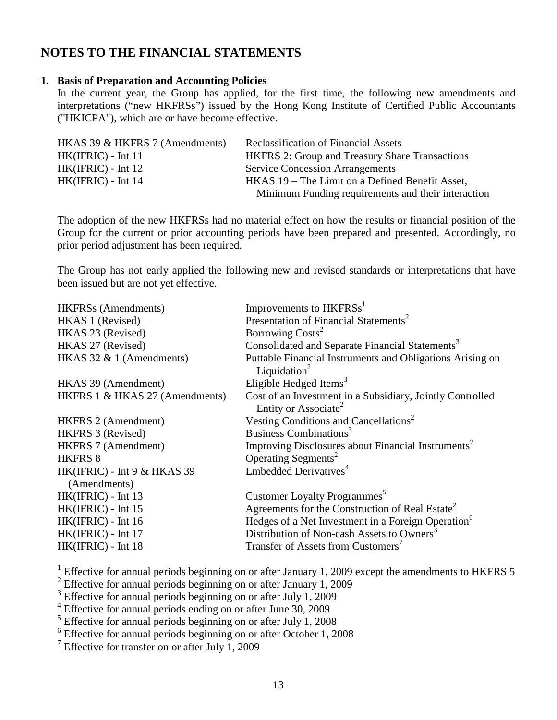## **NOTES TO THE FINANCIAL STATEMENTS**

#### **1. Basis of Preparation and Accounting Policies**

In the current year, the Group has applied, for the first time, the following new amendments and interpretations ("new HKFRSs") issued by the Hong Kong Institute of Certified Public Accountants ("HKICPA"), which are or have become effective.

| HKAS 39 & HKFRS 7 (Amendments) | <b>Reclassification of Financial Assets</b>           |
|--------------------------------|-------------------------------------------------------|
| $HK(IFRIC) - Int 11$           | <b>HKFRS</b> 2: Group and Treasury Share Transactions |
| $HK(IFRIC) - Int 12$           | <b>Service Concession Arrangements</b>                |
| $HK(IFRIC) - Int 14$           | HKAS 19 – The Limit on a Defined Benefit Asset,       |
|                                | Minimum Funding requirements and their interaction    |

The adoption of the new HKFRSs had no material effect on how the results or financial position of the Group for the current or prior accounting periods have been prepared and presented. Accordingly, no prior period adjustment has been required.

The Group has not early applied the following new and revised standards or interpretations that have been issued but are not yet effective.

| <b>HKFRSs</b> (Amendments)     | Improvements to HKFRSs <sup>1</sup>                            |
|--------------------------------|----------------------------------------------------------------|
| HKAS 1 (Revised)               | Presentation of Financial Statements <sup>2</sup>              |
| HKAS 23 (Revised)              | Borrowing Costs <sup>2</sup>                                   |
| HKAS 27 (Revised)              | Consolidated and Separate Financial Statements <sup>3</sup>    |
| HKAS 32 $& 1$ (Amendments)     | Puttable Financial Instruments and Obligations Arising on      |
|                                | Liquidation <sup>2</sup>                                       |
| HKAS 39 (Amendment)            | Eligible Hedged Items <sup>3</sup>                             |
| HKFRS 1 & HKAS 27 (Amendments) | Cost of an Investment in a Subsidiary, Jointly Controlled      |
|                                | Entity or Associate <sup>2</sup>                               |
| <b>HKFRS 2 (Amendment)</b>     | Vesting Conditions and Cancellations <sup>2</sup>              |
| HKFRS 3 (Revised)              | Business Combinations <sup>3</sup>                             |
| <b>HKFRS 7 (Amendment)</b>     | Improving Disclosures about Financial Instruments <sup>2</sup> |
| <b>HKFRS 8</b>                 | Operating Segments <sup>2</sup>                                |
| HK(IFRIC) - Int 9 & HKAS 39    | Embedded Derivatives <sup>4</sup>                              |
| (Amendments)                   |                                                                |
| HK(IFRIC) - Int 13             | Customer Loyalty Programmes <sup>5</sup>                       |
| HK(IFRIC) - Int 15             | Agreements for the Construction of Real Estate <sup>2</sup>    |
| HK(IFRIC) - Int 16             | Hedges of a Net Investment in a Foreign Operation <sup>6</sup> |
| HK(IFRIC) - Int 17             | Distribution of Non-cash Assets to Owners <sup>3</sup>         |
| HK(IFRIC) - Int 18             | Transfer of Assets from Customers <sup>7</sup>                 |
|                                |                                                                |

<sup>1</sup> Effective for annual periods beginning on or after January 1, 2009 except the amendments to HKFRS 5

<sup>2</sup> Effective for annual periods beginning on or after January 1, 2009

<sup>3</sup> Effective for annual periods beginning on or after July 1, 2009

4 Effective for annual periods ending on or after June 30, 2009

<sup>5</sup> Effective for annual periods beginning on or after July 1, 2008

6 Effective for annual periods beginning on or after October 1, 2008

<sup>7</sup> Effective for transfer on or after July 1, 2009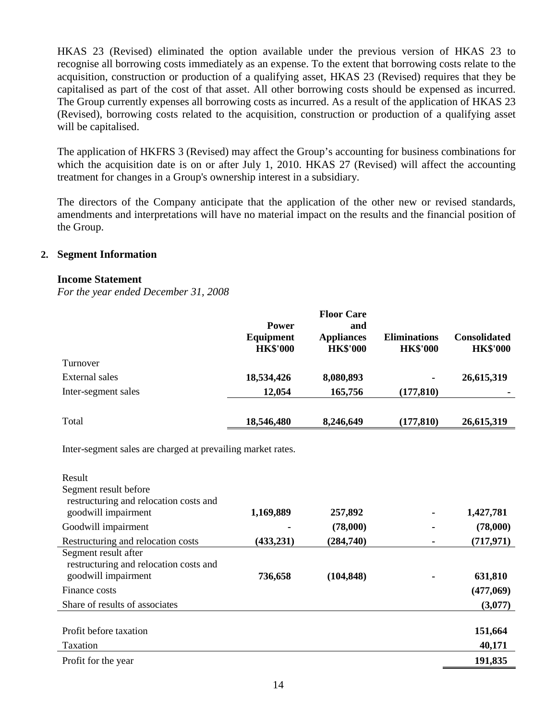HKAS 23 (Revised) eliminated the option available under the previous version of HKAS 23 to recognise all borrowing costs immediately as an expense. To the extent that borrowing costs relate to the acquisition, construction or production of a qualifying asset, HKAS 23 (Revised) requires that they be capitalised as part of the cost of that asset. All other borrowing costs should be expensed as incurred. The Group currently expenses all borrowing costs as incurred. As a result of the application of HKAS 23 (Revised), borrowing costs related to the acquisition, construction or production of a qualifying asset will be capitalised.

The application of HKFRS 3 (Revised) may affect the Group's accounting for business combinations for which the acquisition date is on or after July 1, 2010. HKAS 27 (Revised) will affect the accounting treatment for changes in a Group's ownership interest in a subsidiary.

The directors of the Company anticipate that the application of the other new or revised standards, amendments and interpretations will have no material impact on the results and the financial position of the Group.

#### **2. Segment Information**

#### **Income Statement**

*For the year ended December 31, 2008* 

|                                                                                       |                                              | <b>Floor Care</b>                           |                                        |                                        |
|---------------------------------------------------------------------------------------|----------------------------------------------|---------------------------------------------|----------------------------------------|----------------------------------------|
|                                                                                       | <b>Power</b><br>Equipment<br><b>HK\$'000</b> | and<br><b>Appliances</b><br><b>HK\$'000</b> | <b>Eliminations</b><br><b>HK\$'000</b> | <b>Consolidated</b><br><b>HK\$'000</b> |
| Turnover                                                                              |                                              |                                             |                                        |                                        |
| <b>External</b> sales                                                                 | 18,534,426                                   | 8,080,893                                   |                                        | 26,615,319                             |
| Inter-segment sales                                                                   | 12,054                                       | 165,756                                     | (177, 810)                             |                                        |
| Total                                                                                 | 18,546,480                                   | 8,246,649                                   | (177, 810)                             | 26,615,319                             |
| Inter-segment sales are charged at prevailing market rates.                           |                                              |                                             |                                        |                                        |
| Result<br>Segment result before                                                       |                                              |                                             |                                        |                                        |
| restructuring and relocation costs and<br>goodwill impairment                         | 1,169,889                                    | 257,892                                     |                                        | 1,427,781                              |
| Goodwill impairment                                                                   |                                              | (78,000)                                    |                                        | (78,000)                               |
| Restructuring and relocation costs                                                    | (433, 231)                                   | (284,740)                                   |                                        | (717, 971)                             |
| Segment result after<br>restructuring and relocation costs and<br>goodwill impairment | 736,658                                      | (104, 848)                                  |                                        | 631,810                                |
| Finance costs                                                                         |                                              |                                             |                                        | (477,069)                              |
| Share of results of associates                                                        |                                              |                                             |                                        | (3,077)                                |
| Profit before taxation<br>Taxation                                                    |                                              |                                             |                                        | 151,664<br>40,171                      |
| Profit for the year                                                                   |                                              |                                             |                                        | 191,835                                |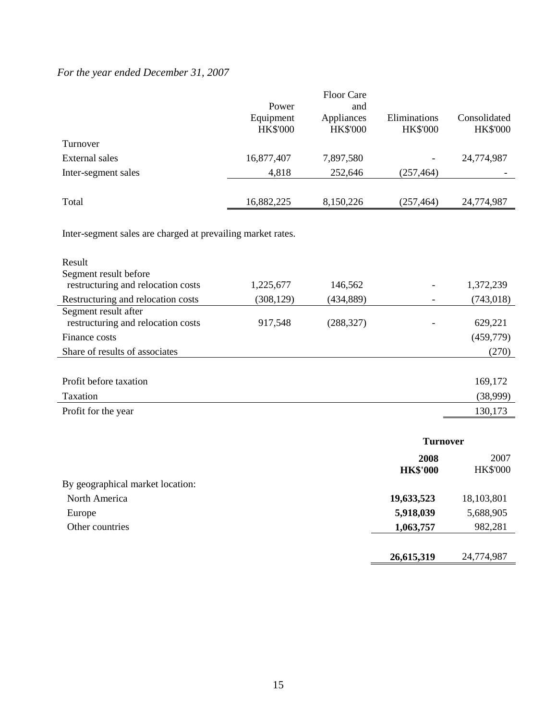# *For the year ended December 31, 2007*

|                     |                 | <b>Floor Care</b> |                 |                 |
|---------------------|-----------------|-------------------|-----------------|-----------------|
|                     | Power           | and               |                 |                 |
|                     | Equipment       | Appliances        | Eliminations    | Consolidated    |
|                     | <b>HK\$'000</b> | <b>HK\$'000</b>   | <b>HK\$'000</b> | <b>HK\$'000</b> |
| Turnover            |                 |                   |                 |                 |
| External sales      | 16,877,407      | 7,897,580         |                 | 24,774,987      |
| Inter-segment sales | 4,818           | 252,646           | (257, 464)      |                 |
|                     |                 |                   |                 |                 |
| Total               | 16,882,225      | 8,150,226         | (257, 464)      | 24,774,987      |

Inter-segment sales are charged at prevailing market rates.

| Result                             |            |            |                                |            |
|------------------------------------|------------|------------|--------------------------------|------------|
| Segment result before              |            |            |                                |            |
| restructuring and relocation costs | 1,225,677  | 146,562    |                                | 1,372,239  |
| Restructuring and relocation costs | (308, 129) | (434, 889) |                                | (743, 018) |
| Segment result after               |            |            |                                |            |
| restructuring and relocation costs | 917,548    | (288, 327) |                                | 629,221    |
| Finance costs                      |            |            |                                | (459,779)  |
| Share of results of associates     |            |            |                                | (270)      |
|                                    |            |            |                                |            |
| Profit before taxation             |            |            |                                | 169,172    |
| Taxation                           |            |            |                                | (38,999)   |
| Profit for the year                |            |            |                                | 130,173    |
|                                    |            |            |                                |            |
|                                    |            |            | $T_{\rm{trans}}$ $\sim$ $\sim$ |            |

|                                  |                         | <b>Turnover</b>         |  |  |
|----------------------------------|-------------------------|-------------------------|--|--|
|                                  | 2008<br><b>HK\$'000</b> | 2007<br><b>HK\$'000</b> |  |  |
| By geographical market location: |                         |                         |  |  |
| North America                    | 19,633,523              | 18,103,801              |  |  |
| Europe                           | 5,918,039               | 5,688,905               |  |  |
| Other countries                  | 1,063,757               | 982,281                 |  |  |
|                                  |                         |                         |  |  |
|                                  | 26,615,319              | 24,774,987              |  |  |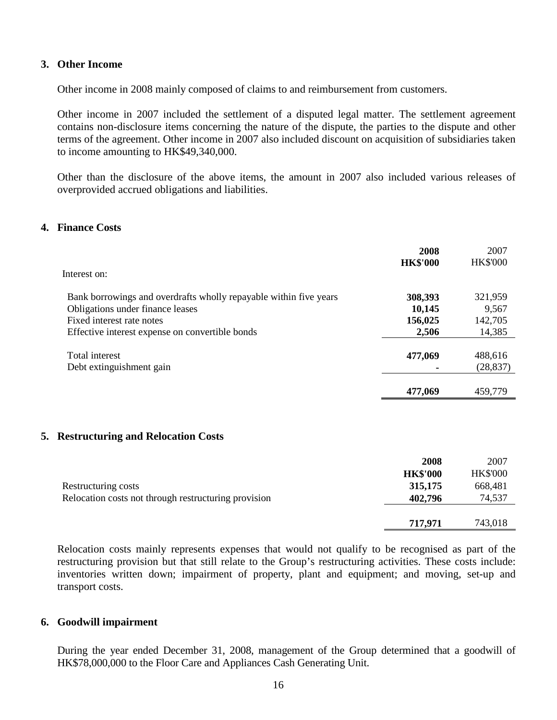#### **3. Other Income**

Other income in 2008 mainly composed of claims to and reimbursement from customers.

Other income in 2007 included the settlement of a disputed legal matter. The settlement agreement contains non-disclosure items concerning the nature of the dispute, the parties to the dispute and other terms of the agreement. Other income in 2007 also included discount on acquisition of subsidiaries taken to income amounting to HK\$49,340,000.

Other than the disclosure of the above items, the amount in 2007 also included various releases of overprovided accrued obligations and liabilities.

#### **4. Finance Costs**

| Interest on:                                                      | 2008<br><b>HK\$'000</b> | 2007<br><b>HK\$'000</b> |
|-------------------------------------------------------------------|-------------------------|-------------------------|
| Bank borrowings and overdrafts wholly repayable within five years | 308,393                 | 321,959                 |
| Obligations under finance leases                                  | 10,145                  | 9,567                   |
| Fixed interest rate notes                                         | 156,025                 | 142,705                 |
| Effective interest expense on convertible bonds                   | 2,506                   | 14,385                  |
| Total interest                                                    | 477,069                 | 488,616                 |
| Debt extinguishment gain                                          |                         | (28, 837)               |
|                                                                   | 477,069                 | 459,779                 |

#### **5. Restructuring and Relocation Costs**

|                                                      | 2008            | 2007            |
|------------------------------------------------------|-----------------|-----------------|
|                                                      | <b>HK\$'000</b> | <b>HK\$'000</b> |
| Restructuring costs                                  | 315,175         | 668,481         |
| Relocation costs not through restructuring provision | 402,796         | 74,537          |
|                                                      |                 |                 |
|                                                      | 717,971         | 743,018         |

Relocation costs mainly represents expenses that would not qualify to be recognised as part of the restructuring provision but that still relate to the Group's restructuring activities. These costs include: inventories written down; impairment of property, plant and equipment; and moving, set-up and transport costs.

#### **6. Goodwill impairment**

During the year ended December 31, 2008, management of the Group determined that a goodwill of HK\$78,000,000 to the Floor Care and Appliances Cash Generating Unit.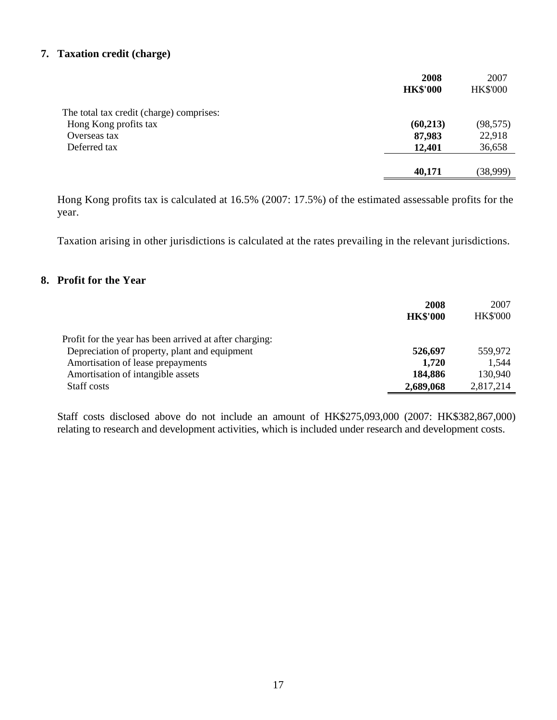### **7. Taxation credit (charge)**

|                                          | 2008<br><b>HK\$'000</b> | 2007<br><b>HK\$'000</b> |
|------------------------------------------|-------------------------|-------------------------|
| The total tax credit (charge) comprises: |                         |                         |
| Hong Kong profits tax                    | (60,213)                | (98, 575)               |
| Overseas tax                             | 87,983                  | 22,918                  |
| Deferred tax                             | 12,401                  | 36,658                  |
|                                          |                         |                         |
|                                          | 40,171                  | (38,999)                |

Hong Kong profits tax is calculated at 16.5% (2007: 17.5%) of the estimated assessable profits for the year.

Taxation arising in other jurisdictions is calculated at the rates prevailing in the relevant jurisdictions.

#### **8. Profit for the Year**

|                                                         | 2008<br><b>HK\$'000</b> | 2007<br><b>HK\$'000</b> |
|---------------------------------------------------------|-------------------------|-------------------------|
| Profit for the year has been arrived at after charging: |                         |                         |
| Depreciation of property, plant and equipment           | 526,697                 | 559,972                 |
| Amortisation of lease prepayments                       | 1,720                   | 1,544                   |
| Amortisation of intangible assets                       | 184,886                 | 130,940                 |
| Staff costs                                             | 2,689,068               | 2,817,214               |

Staff costs disclosed above do not include an amount of HK\$275,093,000 (2007: HK\$382,867,000) relating to research and development activities, which is included under research and development costs.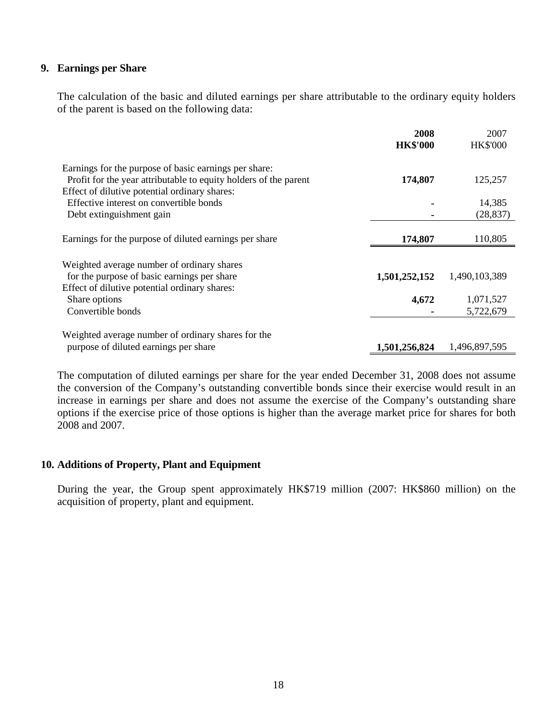#### **9. Earnings per Share**

The calculation of the basic and diluted earnings per share attributable to the ordinary equity holders of the parent is based on the following data:

|                                                                  | 2008<br><b>HK\$'000</b> | 2007<br><b>HK\$'000</b> |
|------------------------------------------------------------------|-------------------------|-------------------------|
| Earnings for the purpose of basic earnings per share:            |                         |                         |
| Profit for the year attributable to equity holders of the parent | 174,807                 | 125,257                 |
| Effect of dilutive potential ordinary shares:                    |                         |                         |
| Effective interest on convertible bonds                          |                         | 14,385                  |
| Debt extinguishment gain                                         |                         | (28, 837)               |
|                                                                  |                         |                         |
| Earnings for the purpose of diluted earnings per share           | 174,807                 | 110,805                 |
|                                                                  |                         |                         |
| Weighted average number of ordinary shares                       |                         |                         |
| for the purpose of basic earnings per share                      | 1,501,252,152           | 1,490,103,389           |
| Effect of dilutive potential ordinary shares:                    |                         |                         |
| Share options                                                    | 4,672                   | 1,071,527               |
| Convertible bonds                                                |                         | 5,722,679               |
|                                                                  |                         |                         |
| Weighted average number of ordinary shares for the               |                         |                         |
| purpose of diluted earnings per share                            | 1,501,256,824           | 1,496,897,595           |
|                                                                  |                         |                         |

The computation of diluted earnings per share for the year ended December 31, 2008 does not assume the conversion of the Company's outstanding convertible bonds since their exercise would result in an increase in earnings per share and does not assume the exercise of the Company's outstanding share options if the exercise price of those options is higher than the average market price for shares for both 2008 and 2007.

#### **10. Additions of Property, Plant and Equipment**

 During the year, the Group spent approximately HK\$719 million (2007: HK\$860 million) on the acquisition of property, plant and equipment.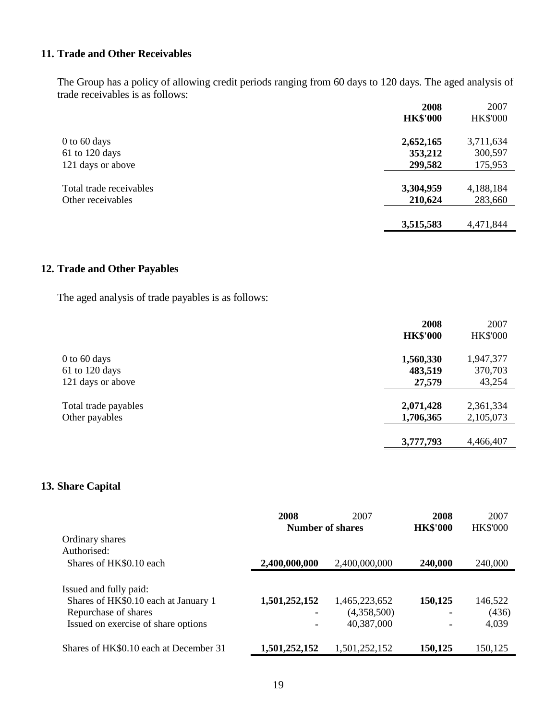## **11. Trade and Other Receivables**

The Group has a policy of allowing credit periods ranging from 60 days to 120 days. The aged analysis of trade receivables is as follows:

|                         | 2008            | 2007            |
|-------------------------|-----------------|-----------------|
|                         | <b>HK\$'000</b> | <b>HK\$'000</b> |
| $0$ to 60 days          | 2,652,165       | 3,711,634       |
| 61 to 120 days          | 353,212         | 300,597         |
| 121 days or above       | 299,582         | 175,953         |
| Total trade receivables | 3,304,959       | 4,188,184       |
| Other receivables       | 210,624         | 283,660         |
|                         | 3,515,583       | 4,471,844       |

#### **12. Trade and Other Payables**

The aged analysis of trade payables is as follows:

|                      | 2008            | 2007            |
|----------------------|-----------------|-----------------|
|                      | <b>HK\$'000</b> | <b>HK\$'000</b> |
| $0$ to 60 days       | 1,560,330       | 1,947,377       |
| 61 to 120 days       | 483,519         | 370,703         |
| 121 days or above    | 27,579          | 43,254          |
| Total trade payables | 2,071,428       | 2,361,334       |
| Other payables       | 1,706,365       | 2,105,073       |
|                      |                 |                 |
|                      | 3,777,793       | 4,466,407       |

# **13. Share Capital**

|                                        | 2008<br><b>Number of shares</b> | 2007          | 2008<br><b>HK\$'000</b> | 2007<br><b>HK\$'000</b> |
|----------------------------------------|---------------------------------|---------------|-------------------------|-------------------------|
| Ordinary shares<br>Authorised:         |                                 |               |                         |                         |
| Shares of HK\$0.10 each                | 2,400,000,000                   | 2,400,000,000 | 240,000                 | 240,000                 |
| Issued and fully paid:                 |                                 |               |                         |                         |
| Shares of HK\$0.10 each at January 1   | 1,501,252,152                   | 1,465,223,652 | 150,125                 | 146,522                 |
| Repurchase of shares                   |                                 | (4,358,500)   |                         | (436)                   |
| Issued on exercise of share options    |                                 | 40,387,000    | ۰                       | 4,039                   |
|                                        |                                 |               |                         |                         |
| Shares of HK\$0.10 each at December 31 | 1,501,252,152                   | 1,501,252,152 | 150,125                 | 150,125                 |